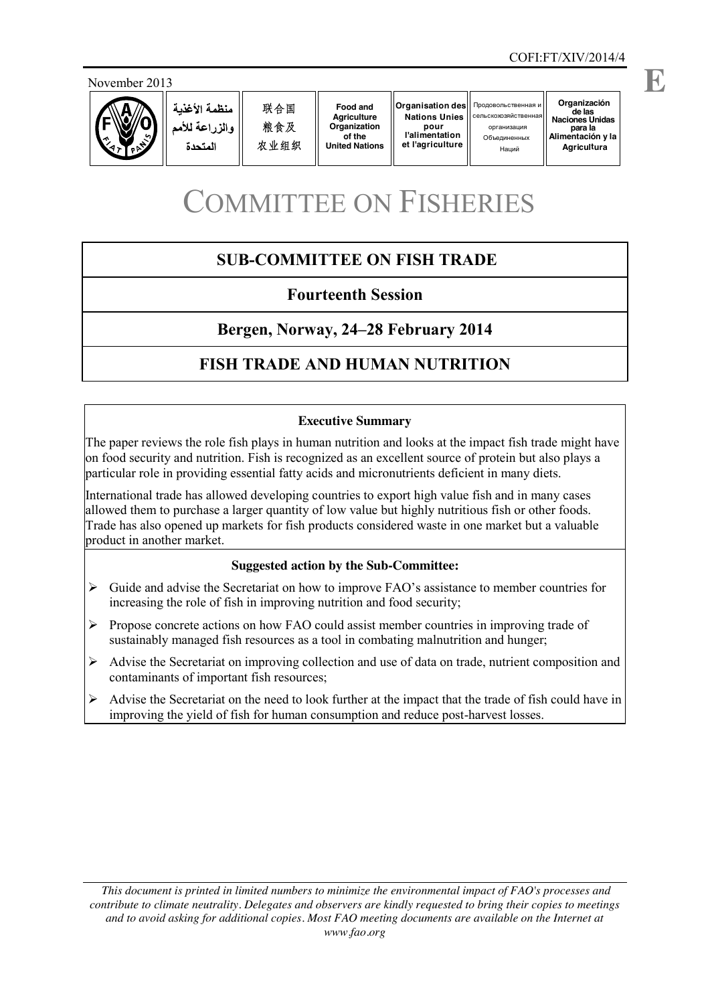



**Food and Agriculture Organization of the United Nations**

**Organisation des Nations Unies pour l'alimentation et l'agriculture**

# COMMITTEE ON FISHERIES

# **SUB-COMMITTEE ON FISH TRADE**

# **Fourteenth Session**

# **Bergen, Norway, 24–28 February 2014**

# **FISH TRADE AND HUMAN NUTRITION**

#### **Executive Summary**

The paper reviews the role fish plays in human nutrition and looks at the impact fish trade might have on food security and nutrition. Fish is recognized as an excellent source of protein but also plays a particular role in providing essential fatty acids and micronutrients deficient in many diets.

International trade has allowed developing countries to export high value fish and in many cases allowed them to purchase a larger quantity of low value but highly nutritious fish or other foods. Trade has also opened up markets for fish products considered waste in one market but a valuable product in another market.

#### **Suggested action by the Sub-Committee:**

- ¾ Guide and advise the Secretariat on how to improve FAO's assistance to member countries for increasing the role of fish in improving nutrition and food security;
- ¾ Propose concrete actions on how FAO could assist member countries in improving trade of sustainably managed fish resources as a tool in combating malnutrition and hunger;
- $\triangleright$  Advise the Secretariat on improving collection and use of data on trade, nutrient composition and contaminants of important fish resources;
- $\triangleright$  Advise the Secretariat on the need to look further at the impact that the trade of fish could have in improving the yield of fish for human consumption and reduce post-harvest losses.

*This document is printed in limited numbers to minimize the environmental impact of FAO's processes and contribute to climate neutrality. Delegates and observers are kindly requested to bring their copies to meetings and to avoid asking for additional copies. Most FAO meeting documents are available on the Internet at www.fao.org*

**E**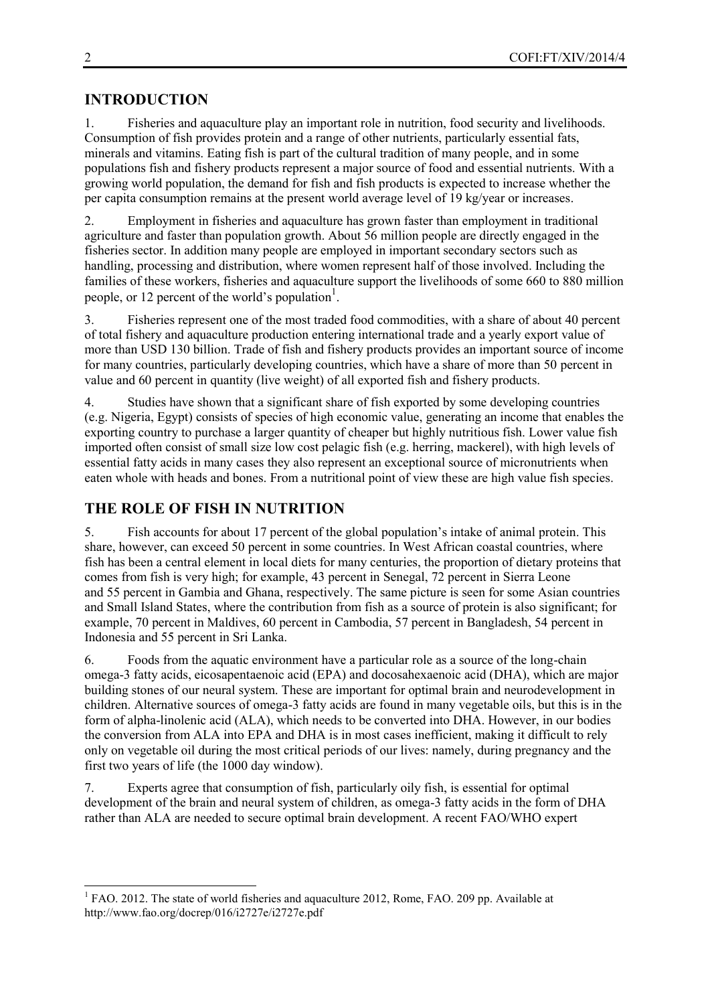## **INTRODUCTION**

1. Fisheries and aquaculture play an important role in nutrition, food security and livelihoods. Consumption of fish provides protein and a range of other nutrients, particularly essential fats, minerals and vitamins. Eating fish is part of the cultural tradition of many people, and in some populations fish and fishery products represent a major source of food and essential nutrients. With a growing world population, the demand for fish and fish products is expected to increase whether the per capita consumption remains at the present world average level of 19 kg/year or increases.

2. Employment in fisheries and aquaculture has grown faster than employment in traditional agriculture and faster than population growth. About 56 million people are directly engaged in the fisheries sector. In addition many people are employed in important secondary sectors such as handling, processing and distribution, where women represent half of those involved. Including the families of these workers, fisheries and aquaculture support the livelihoods of some 660 to 880 million people, or 12 percent of the world's population<sup>1</sup>.

3. Fisheries represent one of the most traded food commodities, with a share of about 40 percent of total fishery and aquaculture production entering international trade and a yearly export value of more than USD 130 billion. Trade of fish and fishery products provides an important source of income for many countries, particularly developing countries, which have a share of more than 50 percent in value and 60 percent in quantity (live weight) of all exported fish and fishery products.

4. Studies have shown that a significant share of fish exported by some developing countries (e.g. Nigeria, Egypt) consists of species of high economic value, generating an income that enables the exporting country to purchase a larger quantity of cheaper but highly nutritious fish. Lower value fish imported often consist of small size low cost pelagic fish (e.g. herring, mackerel), with high levels of essential fatty acids in many cases they also represent an exceptional source of micronutrients when eaten whole with heads and bones. From a nutritional point of view these are high value fish species.

## **THE ROLE OF FISH IN NUTRITION**

5. Fish accounts for about 17 percent of the global population's intake of animal protein. This share, however, can exceed 50 percent in some countries. In West African coastal countries, where fish has been a central element in local diets for many centuries, the proportion of dietary proteins that comes from fish is very high; for example, 43 percent in Senegal, 72 percent in Sierra Leone and 55 percent in Gambia and Ghana, respectively. The same picture is seen for some Asian countries and Small Island States, where the contribution from fish as a source of protein is also significant; for example, 70 percent in Maldives, 60 percent in Cambodia, 57 percent in Bangladesh, 54 percent in Indonesia and 55 percent in Sri Lanka.

6. Foods from the aquatic environment have a particular role as a source of the long-chain omega-3 fatty acids, eicosapentaenoic acid (EPA) and docosahexaenoic acid (DHA), which are major building stones of our neural system. These are important for optimal brain and neurodevelopment in children. Alternative sources of omega-3 fatty acids are found in many vegetable oils, but this is in the form of alpha-linolenic acid (ALA), which needs to be converted into DHA. However, in our bodies the conversion from ALA into EPA and DHA is in most cases inefficient, making it difficult to rely only on vegetable oil during the most critical periods of our lives: namely, during pregnancy and the first two years of life (the 1000 day window).

7. Experts agree that consumption of fish, particularly oily fish, is essential for optimal development of the brain and neural system of children, as omega-3 fatty acids in the form of DHA rather than ALA are needed to secure optimal brain development. A recent FAO/WHO expert

 $<sup>1</sup>$  FAO. 2012. The state of world fisheries and aquaculture 2012, Rome, FAO. 209 pp. Available at</sup> <http://www.fao.org/docrep/016/i2727e/i2727e.pdf>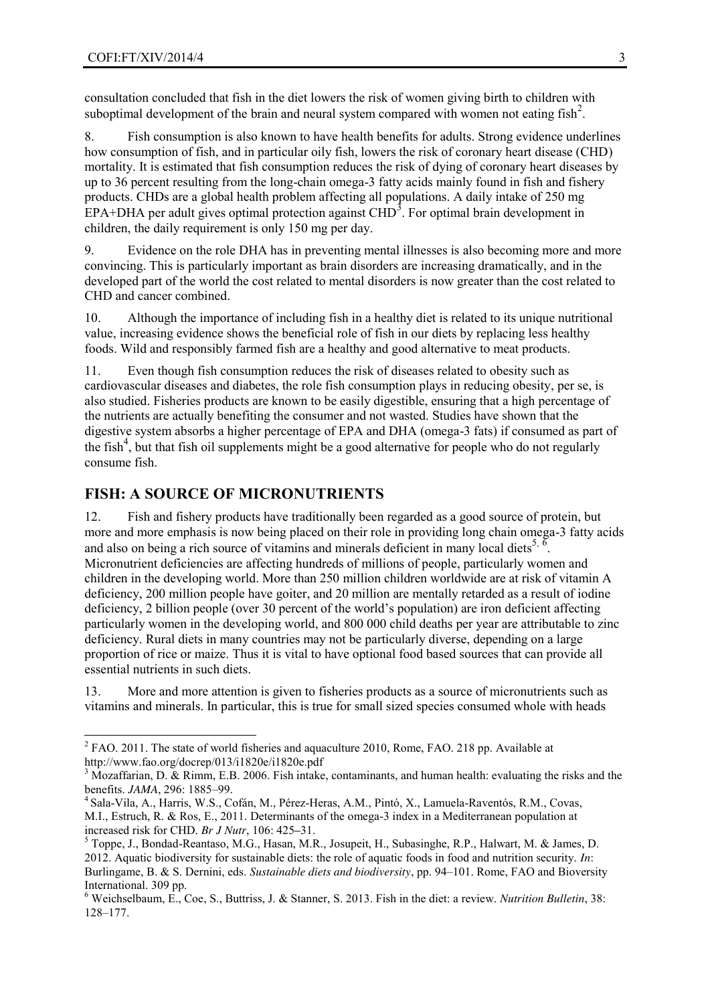consultation concluded that fish in the diet lowers the risk of women giving birth to children with suboptimal development of the brain and neural system compared with women not eating fish<sup>2</sup>.

8. Fish consumption is also known to have health benefits for adults. Strong evidence underlines how consumption of fish, and in particular oily fish, lowers the risk of coronary heart disease (CHD) mortality. It is estimated that fish consumption reduces the risk of dying of coronary heart diseases by up to 36 percent resulting from the long-chain omega-3 fatty acids mainly found in fish and fishery products. CHDs are a global health problem affecting all populations. A daily intake of 250 mg EPA+DHA per adult gives optimal protection against  $CHD<sup>3</sup>$ . For optimal brain development in children, the daily requirement is only 150 mg per day.

9. Evidence on the role DHA has in preventing mental illnesses is also becoming more and more convincing. This is particularly important as brain disorders are increasing dramatically, and in the developed part of the world the cost related to mental disorders is now greater than the cost related to CHD and cancer combined.

10. Although the importance of including fish in a healthy diet is related to its unique nutritional value, increasing evidence shows the beneficial role of fish in our diets by replacing less healthy foods. Wild and responsibly farmed fish are a healthy and good alternative to meat products.

11. Even though fish consumption reduces the risk of diseases related to obesity such as cardiovascular diseases and diabetes, the role fish consumption plays in reducing obesity, per se, is also studied. Fisheries products are known to be easily digestible, ensuring that a high percentage of the nutrients are actually benefiting the consumer and not wasted. Studies have shown that the digestive system absorbs a higher percentage of EPA and DHA (omega-3 fats) if consumed as part of the fish<sup>4</sup>, but that fish oil supplements might be a good alternative for people who do not regularly consume fish.

## **FISH: A SOURCE OF MICRONUTRIENTS**

12. Fish and fishery products have traditionally been regarded as a good source of protein, but more and more emphasis is now being placed on their role in providing long chain omega-3 fatty acids and also on being a rich source of vitamins and minerals deficient in many local diets<sup>5, 6</sup> . Micronutrient deficiencies are affecting hundreds of millions of people, particularly women and children in the developing world. More than 250 million children worldwide are at risk of vitamin A deficiency, 200 million people have goiter, and 20 million are mentally retarded as a result of iodine deficiency, 2 billion people (over 30 percent of the world's population) are iron deficient affecting particularly women in the developing world, and 800 000 child deaths per year are attributable to zinc deficiency. Rural diets in many countries may not be particularly diverse, depending on a large proportion of rice or maize. Thus it is vital to have optional food based sources that can provide all essential nutrients in such diets.

13. More and more attention is given to fisheries products as a source of micronutrients such as vitamins and minerals. In particular, this is true for small sized species consumed whole with heads

<sup>&</sup>lt;sup>2</sup> FAO. 2011. The state of world fisheries and aquaculture 2010, Rome, FAO. 218 pp. Available at <http://www.fao.org/docrep/013/i1820e/i1820e.pdf>

<sup>&</sup>lt;sup>3</sup> Mozaffarian, D. & Rimm, E.B. 2006. Fish intake, contaminants, and human health: evaluating the risks and the benefits. *JAMA*, 296: 1885–99.<br><sup>4</sup> [Sala-Vila, A.](http://www.ncbi.nlm.nih.gov/pubmed?term=Sala-Vila%20A%5BAuthor%5D&cauthor=true&cauthor_uid=21450116), [Harris, W.S.](http://www.ncbi.nlm.nih.gov/pubmed?term=Harris%20WS%5BAuthor%5D&cauthor=true&cauthor_uid=21450116), [Cofán, M.](http://www.ncbi.nlm.nih.gov/pubmed?term=Cof%C3%A1n%20M%5BAuthor%5D&cauthor=true&cauthor_uid=21450116), [Pérez-Heras, A.M.,](http://www.ncbi.nlm.nih.gov/pubmed?term=P%C3%A9rez-Heras%20AM%5BAuthor%5D&cauthor=true&cauthor_uid=21450116) [Pintó, X.,](http://www.ncbi.nlm.nih.gov/pubmed?term=Pint%C3%B3%20X%5BAuthor%5D&cauthor=true&cauthor_uid=21450116) [Lamuela-Raventós, R.M.,](http://www.ncbi.nlm.nih.gov/pubmed?term=Lamuela-Ravent%C3%B3s%20RM%5BAuthor%5D&cauthor=true&cauthor_uid=21450116) Covas,

[M.I.](http://www.ncbi.nlm.nih.gov/pubmed?term=Covas%20MI%5BAuthor%5D&cauthor=true&cauthor_uid=21450116), [Estruch, R.](http://www.ncbi.nlm.nih.gov/pubmed?term=Estruch%20R%5BAuthor%5D&cauthor=true&cauthor_uid=21450116) & [Ros, E.,](http://www.ncbi.nlm.nih.gov/pubmed?term=Ros%20E%5BAuthor%5D&cauthor=true&cauthor_uid=21450116) 2011. Determinants of the omega-3 index in a Mediterranean population at

increased risk for CHD. *Br J Nutr*, 106: 425**–**31. <sup>5</sup> Toppe, J., Bondad-Reantaso, M.G., Hasan, M.R., Josupeit, H., Subasinghe, R.P., Halwart, M. & James, D. 2012. Aquatic biodiversity for sustainable diets: the role of aquatic foods in food and nutrition security. *In*: Burlingame, B. & S. Dernini, eds. *Sustainable diets and biodiversity*, pp. 94–101. Rome, FAO and Bioversity International. 309 pp.

<sup>6</sup> Weichselbaum, E., Coe, S., Buttriss, J. & Stanner, S. 2013. [Fish in the diet: a review.](http://onlinelibrary.wiley.com/doi/10.1111/nbu.12021/abstract) *Nutrition Bulletin*, 38: 128–[177.](http://onlinelibrary.wiley.com/doi/10.1111/nbu.12021/abstract)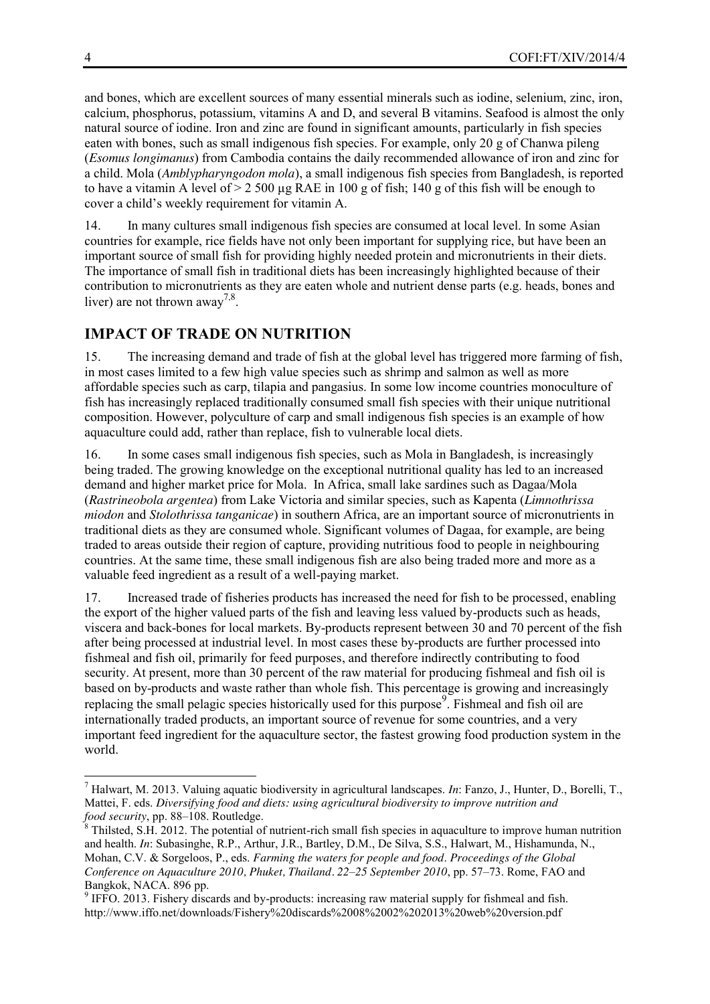and bones, which are excellent sources of many essential minerals such as iodine, selenium, zinc, iron, calcium, phosphorus, potassium, vitamins A and D, and several B vitamins. Seafood is almost the only natural source of iodine. Iron and zinc are found in significant amounts, particularly in fish species eaten with bones, such as small indigenous fish species. For example, only 20 g of Chanwa pileng (*Esomus longimanus*) from Cambodia contains the daily recommended allowance of iron and zinc for a child. Mola (*Amblypharyngodon mola*), a small indigenous fish species from Bangladesh, is reported to have a vitamin A level of  $> 2500 \mu g$  RAE in 100 g of fish; 140 g of this fish will be enough to cover a child's weekly requirement for vitamin A.

14. In many cultures small indigenous fish species are consumed at local level. In some Asian countries for example, rice fields have not only been important for supplying rice, but have been an important source of small fish for providing highly needed protein and micronutrients in their diets. The importance of small fish in traditional diets has been increasingly highlighted because of their contribution to micronutrients as they are eaten whole and nutrient dense parts (e.g. heads, bones and liver) are not thrown away<sup>7,8</sup>.

## **IMPACT OF TRADE ON NUTRITION**

15. The increasing demand and trade of fish at the global level has triggered more farming of fish, in most cases limited to a few high value species such as shrimp and salmon as well as more affordable species such as carp, tilapia and pangasius. In some low income countries monoculture of fish has increasingly replaced traditionally consumed small fish species with their unique nutritional composition. However, polyculture of carp and small indigenous fish species is an example of how aquaculture could add, rather than replace, fish to vulnerable local diets.

16. In some cases small indigenous fish species, such as Mola in Bangladesh, is increasingly being traded. The growing knowledge on the exceptional nutritional quality has led to an increased demand and higher market price for Mola. In Africa, small lake sardines such as Dagaa/Mola (*Rastrineobola argentea*) from Lake Victoria and similar species, such as Kapenta (*[Limnothrissa](http://en.wikipedia.org/wiki/Limnothrissa_miodon)  [miodon](http://en.wikipedia.org/wiki/Limnothrissa_miodon)* and *[Stolothrissa tanganicae](http://en.wikipedia.org/wiki/Stolothrissa_tanganicae)*) in southern Africa, are an important source of micronutrients in traditional diets as they are consumed whole. Significant volumes of Dagaa, for example, are being traded to areas outside their region of capture, providing nutritious food to people in neighbouring countries. At the same time, these small indigenous fish are also being traded more and more as a valuable feed ingredient as a result of a well-paying market.

17. Increased trade of fisheries products has increased the need for fish to be processed, enabling the export of the higher valued parts of the fish and leaving less valued by-products such as heads, viscera and back-bones for local markets. By-products represent between 30 and 70 percent of the fish after being processed at industrial level. In most cases these by-products are further processed into fishmeal and fish oil, primarily for feed purposes, and therefore indirectly contributing to food security. At present, more than 30 percent of the raw material for producing fishmeal and fish oil is based on by-products and waste rather than whole fish. This percentage is growing and increasingly replacing the small pelagic species historically used for this purpose<sup>9</sup>. Fishmeal and fish oil are internationally traded products, an important source of revenue for some countries, and a very important feed ingredient for the aquaculture sector, the fastest growing food production system in the world.

 <sup>7</sup> Halwart, M. 2013. Valuing aquatic biodiversity in agricultural landscapes. *In*: Fanzo, J., Hunter, D., Borelli, T., Mattei, F. eds. *Diversifying food and diets: [using agricultural biodiversity to improve nutrition and](http://foodandnutritionsecurity.com/2013/04/18/new-book-release-diversifying-food-and-diets-using-agricultural-biodiversity-to-improve-nutrition-and-food-security/)* 

*formalieral*, S.H. 2012. The potential of nutrient-rich small fish species in aquaculture to improve human nutrition and health. *In*: Subasinghe, R.P., Arthur, J.R., Bartley, D.M., De Silva, S.S., Halwart, M., Hishamunda, N., Mohan, C.V. & Sorgeloos, P., eds. *Farming the waters for people and food*. *Proceedings of the Global Conference on Aquaculture 2010, Phuket, Thailand. 22–25 September 2010*, pp. 57–73. Rome, FAO and

 $\degree$  IFFO. 2013. Fishery discards and by-products: increasing raw material supply for fishmeal and fish. <http://www.iffo.net/downloads/Fishery%20discards%2008%2002%202013%20web%20version.pdf>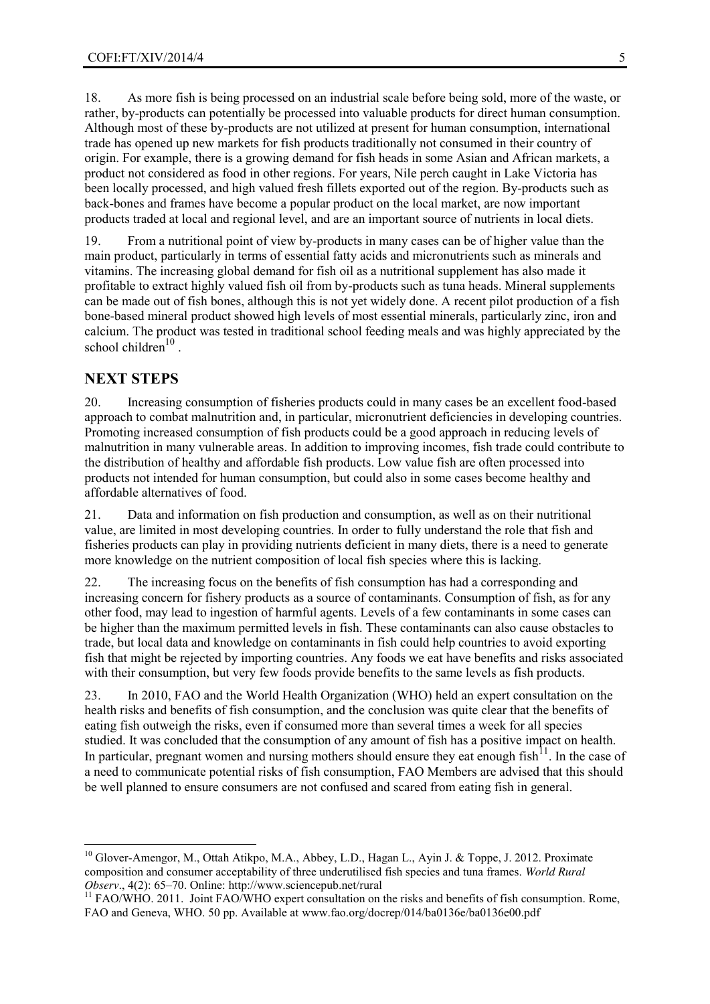18. As more fish is being processed on an industrial scale before being sold, more of the waste, or rather, by-products can potentially be processed into valuable products for direct human consumption. Although most of these by-products are not utilized at present for human consumption, international trade has opened up new markets for fish products traditionally not consumed in their country of origin. For example, there is a growing demand for fish heads in some Asian and African markets, a product not considered as food in other regions. For years, Nile perch caught in Lake Victoria has been locally processed, and high valued fresh fillets exported out of the region. By-products such as back-bones and frames have become a popular product on the local market, are now important products traded at local and regional level, and are an important source of nutrients in local diets.

19. From a nutritional point of view by-products in many cases can be of higher value than the main product, particularly in terms of essential fatty acids and micronutrients such as minerals and vitamins. The increasing global demand for fish oil as a nutritional supplement has also made it profitable to extract highly valued fish oil from by-products such as tuna heads. Mineral supplements can be made out of fish bones, although this is not yet widely done. A recent pilot production of a fish bone-based mineral product showed high levels of most essential minerals, particularly zinc, iron and calcium. The product was tested in traditional school feeding meals and was highly appreciated by the school children $10$ .

#### **NEXT STEPS**

20. Increasing consumption of fisheries products could in many cases be an excellent food-based approach to combat malnutrition and, in particular, micronutrient deficiencies in developing countries. Promoting increased consumption of fish products could be a good approach in reducing levels of malnutrition in many vulnerable areas. In addition to improving incomes, fish trade could contribute to the distribution of healthy and affordable fish products. Low value fish are often processed into products not intended for human consumption, but could also in some cases become healthy and affordable alternatives of food.

21. Data and information on fish production and consumption, as well as on their nutritional value, are limited in most developing countries. In order to fully understand the role that fish and fisheries products can play in providing nutrients deficient in many diets, there is a need to generate more knowledge on the nutrient composition of local fish species where this is lacking.

22. The increasing focus on the benefits of fish consumption has had a corresponding and increasing concern for fishery products as a source of contaminants. Consumption of fish, as for any other food, may lead to ingestion of harmful agents. Levels of a few contaminants in some cases can be higher than the maximum permitted levels in fish. These contaminants can also cause obstacles to trade, but local data and knowledge on contaminants in fish could help countries to avoid exporting fish that might be rejected by importing countries. Any foods we eat have benefits and risks associated with their consumption, but very few foods provide benefits to the same levels as fish products.

23. In 2010, FAO and the World Health Organization (WHO) held an expert consultation on the health risks and benefits of fish consumption, and the conclusion was quite clear that the benefits of eating fish outweigh the risks, even if consumed more than several times a week for all species studied. It was concluded that the consumption of any amount of fish has a positive impact on health. In particular, pregnant women and nursing mothers should ensure they eat enough fish  $11$ . In the case of a need to communicate potential risks of fish consumption, FAO Members are advised that this should be well planned to ensure consumers are not confused and scared from eating fish in general.

<sup>&</sup>lt;sup>10</sup> Glover-Amengor, M., Ottah Atikpo, M.A., Abbey, L.D., Hagan L., Ayin J. & Toppe, J. 2012. Proximate composition and consumer acceptability of three underutilised fish species and tuna frames. *World Rural* 

<sup>&</sup>lt;sup>11</sup> FAO/WHO. 2011. Joint FAO/WHO expert consultation on the risks and benefits of fish consumption. Rome, FAO and Geneva, WHO. 50 pp. Available at [www.fao.org/docrep/014/ba0136e/ba0136e00.pdf](http://www.fao.org/docrep/014/ba0136e/ba0136e00.pdf)